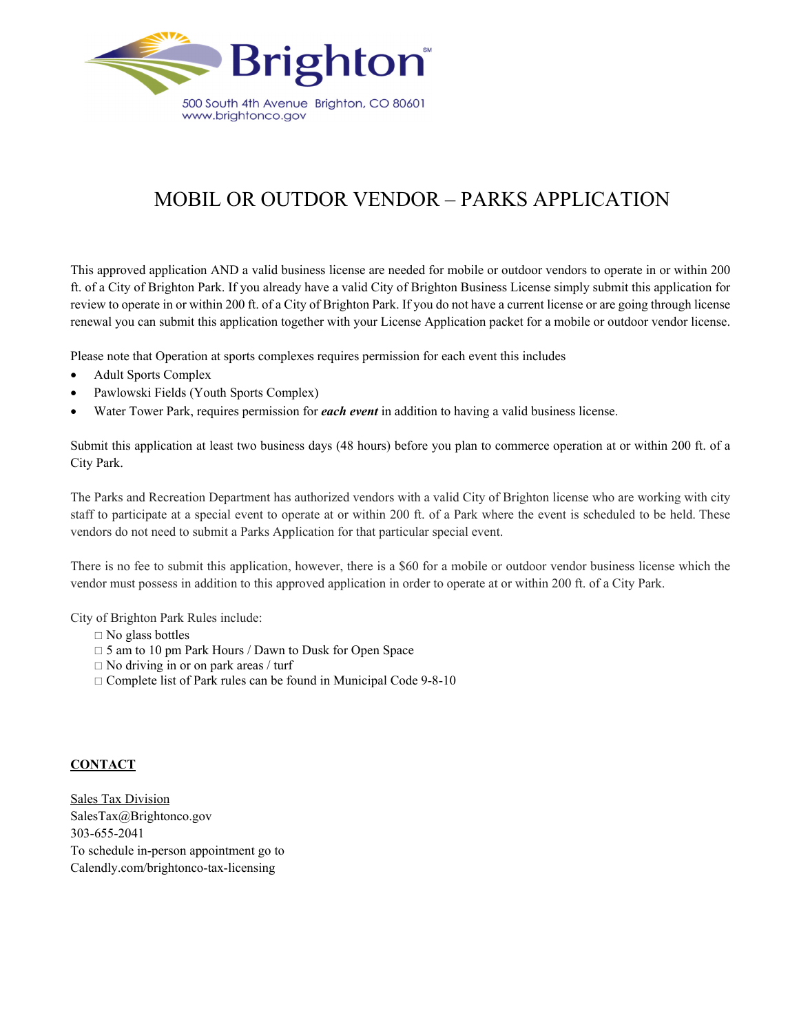

## MOBIL OR OUTDOR VENDOR – PARKS APPLICATION

This approved application AND a valid business license are needed for mobile or outdoor vendors to operate in or within 200 ft. of a City of Brighton Park. If you already have a valid City of Brighton Business License simply submit this application for review to operate in or within 200 ft. of a City of Brighton Park. If you do not have a current license or are going through license renewal you can submit this application together with your License Application packet for a mobile or outdoor vendor license.

Please note that Operation at sports complexes requires permission for each event this includes

- Adult Sports Complex
- Pawlowski Fields (Youth Sports Complex)
- Water Tower Park, requires permission for *each event* in addition to having a valid business license.

Submit this application at least two business days (48 hours) before you plan to commerce operation at or within 200 ft. of a City Park.

The Parks and Recreation Department has authorized vendors with a valid City of Brighton license who are working with city staff to participate at a special event to operate at or within 200 ft. of a Park where the event is scheduled to be held. These vendors do not need to submit a Parks Application for that particular special event.

There is no fee to submit this application, however, there is a \$60 for a mobile or outdoor vendor business license which the vendor must possess in addition to this approved application in order to operate at or within 200 ft. of a City Park.

City of Brighton Park Rules include:

- $\Box$  No glass bottles
- □ 5 am to 10 pm Park Hours / Dawn to Dusk for Open Space
- No driving in or on park areas / turf
- $\Box$  Complete list of Park rules can be found in Municipal Code 9-8-10

## **CONTACT**

**Sales Tax Division** SalesTax@Brightonco.gov 303-655-2041 To schedule in-person appointment go to Calendly.com/brightonco-tax-licensing